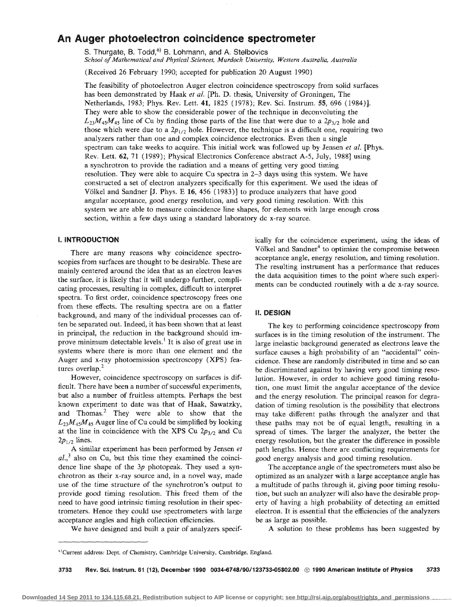# **An Auger photoelectron coincidence spectrometer**

S. Thurgate, B. Todd,<sup>a)</sup> B. Lohmann, and A. Stelbovics *School of iMathematical and Physical Sciences, Murdoch University, Western Australia, Australia* 

(Received 26 February 1990; accepted for publication 20 August 1990)

The feasibility of photoelectron Auger electron coincidence spectroscopy from solid surfaces has been demonstrated by Haak *et al.* [Ph. D. thesis, University of Groningen, The Netherlands, 1983; Phys. Rev. Lett. 41, 1825 (1978); Rev. Sci. lnstrum. 55, 696 (1984)]. They were able to show the considerable power of the technique in deconvoluting the  $L_{23}M_{45}M_{45}$  line of Cu by finding those parts of the line that were due to a  $2p_{3/2}$  hole and those which were due to a  $2p_{1/2}$  hole. However, the technique is a difficult one, requiring two analyzers rather than one and complex coincidence electronics. Even then a single spectrum can take weeks to acquire. This initial work was followed up by Jensen *et al.* [Phys. Rev. Lett. 62, 71 (1989); Physical Electronics Conference abstract A-5, July, 1988] using a synchrotron to provide the radiation and a means of getting very good timing resolution. They were able to acquire Cu spectra in 2-3 days using this system. We have constructed a set of electron analyzers specifically for this experiment. We used the ideas of Volkel and Sandner [J. Phys. E 16, 456 (1983)] to produce analyzers that have good angular acceptance, good energy resolution, and very good timing resolution. With this system we are able to measure coincidence line shapes, for elements with large enough cross section, within a few days using a standard laboratory dc x-ray source.

# I. INTRODUCTION

There are many reasons why coincidence spectroscopies from surfaces are thought to be desirable. These are mainly centered around the idea that as an electron leaves the surface, it is likely that it will undergo further, complicating processes, resulting in complex, difficult to interpret spectra. To first order, coincidence spectroscopy frees one from these effects. The resulting spectra are on a flatter background, and many of the individual processes can often be separated out. Indeed, it has been shown that at least in principal, the reduction in the background should improve minimum detectable levels.<sup>1</sup> It is also of great use in systems where there is more than one element and the Auger and x-ray photoemission spectroscopy (XPS) features overlap.<sup>2</sup>

However, coincidence spectroscopy on surfaces is difficult. There have been a number of successful experiments, but also a number of fruitless attempts. Perhaps the best known experiment to date was that of Haak, Sawatzky, and Thomas.<sup>2</sup> They were able to show that the  $L_{23}M_{45}M_{45}$  Auger line of Cu could be simplified by looking at the line in coincidence with the XPS Cu  $2p_{3/2}$  and Cu  $2p_{1/2}$  lines.

A similar experiment has been performed by Jensen *et al.,3* also on Cu, but this time they examined the coincidence line shape of the *3p* photopeak. They used a synchrotron as their x-ray source and, in a novel way, made use of the time structure of the synchrotron's output to provide good timing resolution. This freed them of the need to have good intrinsic timing resolution in their spectrometers. Hence they could use spectrometers with large acceptance angles and high collection efficiencies.

We have designed and built a pair of analyzers specif-

icaHy for the coincidence experiment, using the ideas of Völkel and Sandner<sup> $4$ </sup> to optimize the compromise between acceptance angle, energy resolution, and timing resolution. The resulting instrument has a performance that reduces the data acquisition times to the point where such experiments can be conducted routinely with a dc x-ray source.

# II. DESIGN

The key to performing coincidence spectroscopy from surfaces is in the timing resolution of the instrument. The large inelastic background generated as electrons leave the surface causes a high probability of an "accidental" coincidence. These are randomly distributed in time and so can be discriminated against by having very good timing resolution. However, in order to achieve good timing resolution, one must limit the angular acceptance of the device and the energy resolution. The principal reason for degradation of timing resolution is the possibility that electrons may take different paths through the analyzer and that these paths may not be of equal length, resulting in a spread of times. The larger the analyzer, the better the energy resolution, but the greater the difference in possible path lengths. Hence there are conflicting requirements for good energy analysis and good timing resolution.

The acceptance angle of the spectrometers must also be optimized as an analyzer with a large acceptance angle has a multitude of paths through it, giving poor timing resolution, but such an analyzer wiH also have the desirable property of having a high probability of detecting an emitted electron. It is essential that the efficiencies of the analyzers be as large as possible.

A solution to these problems has been suggested by

a) Current address: Dept. of Chemistry, Cambridge University, Cambridge, England.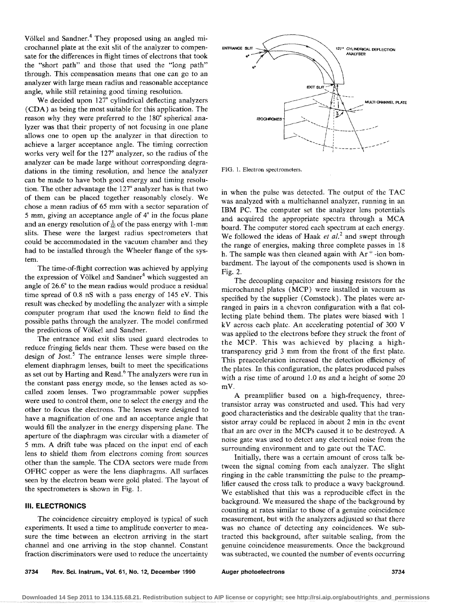Völkel and Sandner.<sup>4</sup> They proposed using an angled microchannel plate at the exit slit of the analyzer to compensate for the differences in flight times of electrons that took the "short path" and those that used the "long path" through. This compensation means that one can go to an analyzer with large mean radius and reasonable acceptance angle, while still retaining good timing resolution.

We decided upon 127° cylindrical deflecting analyzers (CDA) as being the most suitable for this application. The reason why they were preferred to the 180° spherical analyzer was that their property of not focusing in one plane allows one to open up the analyzer in that direction to achieve a larger acceptance angle. The timing correction works very well for the 127<sup>°</sup> analyzer, so the radius of the analyzer can be made large without corresponding degradations in the timing resolution, and hence the analyzer can be made to have both good energy and timing resolution. The other advantage the 127° analyzer has is that two of them can be placed together reasonably closely. We chose a mean radius of 65 mm with a sector separation of 5 mm, giving an acceptance angle of 4° in the focus plane and an energy resolution of  $\frac{1}{60}$  of the pass energy with 1-mm slits. These were the largest radius spectrometers that could be accommodated in the vacuum chamber and they had to be installed through the Wheeler flange of the system.

The time-of-flight correction was achieved by applying the expression of Völkel and Sandner<sup>4</sup> which suggested an angle of 26.6° to the mean radius would produce a residual time spread of 0.8 nS with a pass energy of 145 eV. This result was checked by modelling the analyzer with a simple computer program that used the known field to find the possible paths through the analyzer. The model confirmed the predictions of V6lkel and Sandner.

The entrance and exit slits used guard electrodes to reduce fringing fields near them. These were based on the design of Jost.<sup>5</sup> The entrance lenses were simple threeelement diaphragm lenses, built to meet the specifications as set out by Harting and Read.<sup>6</sup> The analyzers were run in the constant pass energy mode, so the lenses acted as socalled zoom lenses. Two programmable power supplies were used to control them, one to select the energy and the other to focus the electrons. The lenses were designed to have a magnification of one and an acceptance angle that would fill the analyzer in the energy dispersing plane. The aperture of the diaphragm was circular with a diameter of 5 mm. A drift tube was placed on the input end of each lens to shield them from electrons coming from sources other than the sample. The CDA sectors were made from OFHC copper as were the lens diaphragms. All surfaces seen by the electron beam were gold plated. The layout of the spectrometers is shown in Fig. 1.

## **III. ELECTRONICS**

The coincidence circuitry employed is typical of such experiments. It used a time to amplitude converter to measure the time between an electron arriving in the start channel and one arriving in the stop channel. Constant fraction discriminators were used to reduce the uncertainty



FIG. 1. Electron spectrometers.

in when the pulse was detected. The output of the TAC was analyzed with a multichannel analyzer, running in an IBM Pc. The computer set the analyzer lens potentials and acquired the appropriate spectra through a MCA board. The computer stored each spectrum at each energy. We followed the ideas of Haak *et al.*<sup>2</sup> and swept through the range of energies, making three complete passes in 18 h. The sample was then cleaned again with  $Ar^+$ -ion bombardment. The layout of the components used is shown in Fig. 2.

The decoupling capacitor and biasing resistors for the microchanncl plates (MCP) were installed in vacuum as specified by the supplier (Comstock). The plates were arranged in pairs in a chevron configuration with a fiat collecting plate behind them. The plates were biased with 1 k V across each plate. An accelerating potential of 300 V was applied to the electrons before they struck the front of the MCP. This was achieved by placing a hightransparency grid 3 mm from the front of the first plate. This preacceleration increased the detection efficiency of the plates. In this configuration, the plates produced pulses with a rise time of around 1.0 ns and a height of some 20 mY.

A preamplifier based on a high-frequency, threetransistor array was constructed and used. This had very good characteristics and the desirable quality that the transistor array could be replaced in about 2 min in the event that an arc over in the MCPs caused it to be destroyed. A noise gate was used to detect any electrical noise from the surrounding environment and to gate out the TAC.

Initially, there was a certain amount of cross talk between the signal coming from each analyzer. The slight ringing in the cable transmitting the pulse to the preamplifier caused the cross talk to produce a wavy background. We established that this was a reproducible effect in the background. We measured the shape of the background by counting at rates similar to those of a genuine coincidence measurement, but with the analyzers adjusted so that there was no chance of detecting any coincidences. We subtracted this background, after suitable scaling, from the genuine coincidence measurements. Once the background was subtracted, we counted the number of events occurring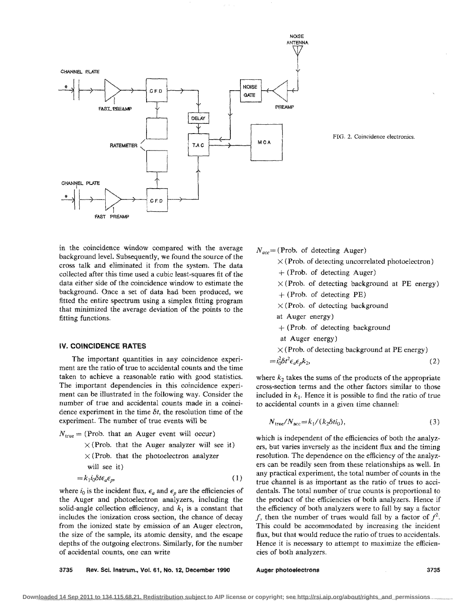

FIG. 2. Coincidence electronics.

in the coincidence window compared with the average background level. Subsequently, we found the source of the cross talk and eliminated it from the system. The data collected after this time used a cubic least-squares fit of the data either side of the coincidence window to estimate the background. Once a set of data had been produced, we fitted the entire spectrum using a simplex fitting program that minimized the average deviation of the points to the fitting functions.

#### IV. COINCIDENCE RATES

The important quantities in any coincidence experiment are the ratio of true to accidental counts and the time taken to achieve a reasonable ratio with good statistics. The important dependencies in this coincidence experiment can be illustrated in the following way. Consider the number of true and accidental counts made in a coincidence experiment in the time  $\delta t$ , the resolution time of the experiment. The number of true events will be

 $N_{\text{true}} = (\text{Prob. that an Auger event will occur})$ 

$$
\times
$$
 (Prob. that the Auger analyzer will see it)  $\times$  (Prob. that the photoelectron analyzer will see it)  $\times$  (1.1.8)

$$
=k_1 i_0 \delta t \epsilon_a \epsilon_p, \tag{1}
$$

where  $i_0$  is the incident flux,  $\epsilon_a$  and  $\epsilon_p$  are the efficiencies of the Auger and photoelectron analyzers, including the solid-angle collection efficiency, and  $k_1$  is a constant that includes the ionization cross section, the chance of decay from the ionized state by emission of an Auger electron, the size of the sample, its atomic density, and the escape depths of the outgoing electrons. Similarly, for the number of accidental counts, one can write

 $N_{\text{acc}} = (Prob. \text{ of detecting Auger})$ 

- $\times$  (Prob. of detecting uncorrelated photoelectron)
- + (Prob. of detecting Auger)
- $\times$  (Prob. of detecting background at PE energy)
- $+$  (Prob. of detecting PE)
- $\times$  (Prob. of detecting background
- at Auger energy)
- + (Prob. of detecting background
- at Auger energy)
- $\times$  (Prob. of detecting background at PE energy)

$$
=i_0^2 \delta t^2 \epsilon_a \epsilon_p k_2,\tag{2}
$$

where  $k_2$  takes the sums of the products of the appropriate cross-section terms and the other factors similar to those included in  $k_1$ . Hence it is possible to find the ratio of true to accidental counts in a given time channel:

$$
N_{\text{true}}/N_{\text{acc}} = k_1/(k_2 \delta t i_0),\tag{3}
$$

which is independent of the efficiencies of both the analyzers, but varies inversely as the incident flux and the timing resolution. The dependence on the efficiency of the analyzers can be readily seen from these relationships as well. In any practical experiment, the total number of counts in the true channel is as important as the ratio of trues to accidentals. The total number of true counts is proportional to the product of the efficiencies of both analyzers. Hence if the efficiency of both analyzers were to fall by say a factor *f*, then the number of trues would fall by a factor of  $f^2$ . This could be accommodated by increasing the incident flux, but that would reduce the ratio of trues to accidentals. Hence it is necessary to attempt to maximize the efficiencies of both analyzers.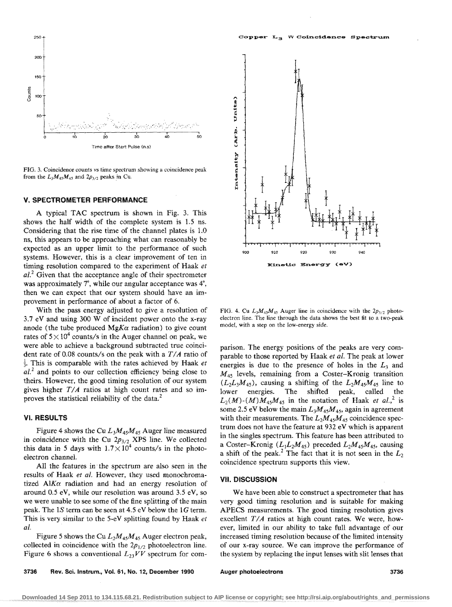

FIG. 3. Coincidence counts vs time spectrum showing a coincidence peak from the  $L_3M_{45}M_{45}$  and  $2p_{3/2}$  peaks in Cu.

#### V. SPECTROMETER PERFORMANCE

A typical TAC spectrum is shown in Fig. 3, This shows the half width of the complete system is 1.5 ns. Considering that the rise time of the channel plates is 1.0 ns, this appears to be approaching what can reasonably be expected as an upper limit to the performance of such systems. However, this is a clear improvement of ten in timing resolution compared to the experiment of Haak *et al.*<sup>2</sup>Given that the acceptance angle of their spectrometer was approximately 7°, while our angular acceptance was 4°, then we can expect that our system should have an improvement in performance of about a factor of 6.

With the pass energy adjusted to give a resolution of 3.7 eV and using 300 W of incident power onto the x-ray anode (the tube produced  $MgK\alpha$  radiation) to give count rates of  $5 \times 10^4$  counts/s in the Auger channel on peak, we were able to achieve a background subtracted true coincident rate of 0.08 counts/s on the peak with a  $T/A$  ratio of  $\frac{1}{3}$ . This is comparable with the rates achieved by Haak *et*  $al<sup>2</sup>$  and points to our collection efficiency being close to theirs. However. the good timing resolution of our system gives higher  $T/A$  ratios at high count rates and so improves the statistical reliability of the data.<sup>2</sup>

#### VI. RESULTS

Figure 4 shows the Cu  $L_3M_{45}M_{45}$  Auger line measured in coincidence with the Cu  $2p_{3/2}$  XPS line. We collected this data in 5 days with  $1.7 \times 10^4$  counts/s in the photoelectron channel.

All the features in the spectrum are also seen in the results of Haak et al. However, they used monochromatized  $AIK\alpha$  radiation and had an energy resolution of around 0.5 eV, while our resolution was around 3.5 eV, so we were unable to see some of the fine splitting of the main peak. The  $1S$  term can be seen at  $4.5$  eV below the  $1G$  term. This is very similar to the 5-eV splitting found by Haak *et al.* 

Figure 5 shows the Cu  $L_2M_{45}M_{45}$  Auger electron peak, collected in coincidence with the  $2p_{1/2}$  photoelectron line. Figure 6 shows a conventional  $L_{23}VV$  spectrum for com-



FIG. 4. Cu  $L_3M_{45}M_{45}$  Auger line in coincidence with the  $2p_{3/2}$  photoelectron line. The line through the data shows the best fit to a two-peak model, with a step on the low-energy side.

parison. The energy positions of the peaks are very comparable to those reported by Haak *et al.* The peak at lower energies is due to the presence of holes in the  $L_3$  and *M45* levels, remaining from a Coster-Kronig transition  $(L_2L_3M_{45})$ , causing a shifting of the  $L_2M_{45}M_{45}$  line to lower energies. The shifted peak, called the  $L_2(M)$ -(*M*)*M*<sub>45</sub>*M*<sub>45</sub> in the notation of Haak *et al.*,<sup>2</sup> is some 2.5 eV below the main  $L_3M_{45}M_{45}$ , again in agreement with their measurements. The  $L_2M_{45}M_{45}$  coincidence spectrum does not have the feature at 932 eV which is apparent in the singles spectrum. This feature has been attributed to a Coster-Kronig  $(L_1 L_2 M_{45})$  preceded  $L_2 M_{45} M_{45}$ , causing a shift of the peak.<sup>2</sup> The fact that it is not seen in the  $L_2$ coincidence spectrum supports this view.

## VII. DISCUSSION

We have been able to construct a spectrometer that has very good timing resolution and is suitable for making APECS measurements. The good timing resolution gives excellent *T/A* ratios at high count rates. We were, however, limited in our ability to take full advantage of our increased timing resolution because of the limited intensity of our x-ray source. We can improve the performance of the system by replacing the input lenses with slit lenses that